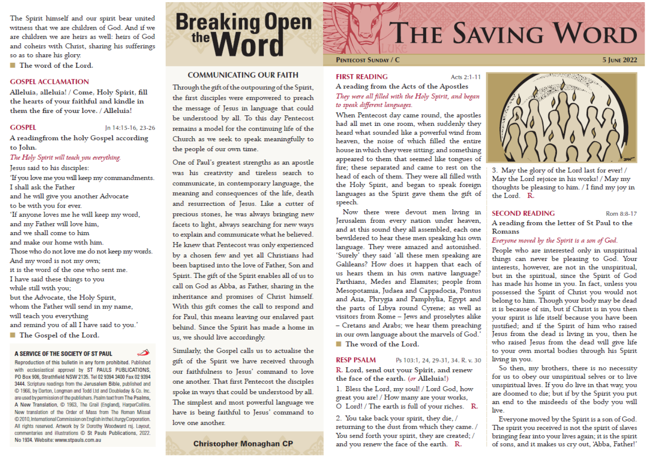The Spirit himself and our spirit bear united witness that we are children of God. And if we are children we are heirs as well: heirs of God and coheirs with Christ, sharing his sufferings so as to share his glory.

 $\blacksquare$  The word of the Lord.

#### **GOSPEL ACCLAMATION**

Alleluia, alleluia! / Come, Holy Spirit, fill the hearts of your faithful and kindle in them the fire of your love. / Alleluia!

#### **GOSPEL**

In 14:15-16, 23-26

A readingfrom the holy Gospel according to John.

The Holy Spirit will teach you everything.

Jesus said to his disciples:

'If you love me you will keep my commandments. I shall ask the Father and he will give you another Advocate to be with you for ever. 'If anyone loves me he will keep my word, and my Father will love him, and we shall come to him and make our home with him. Those who do not love me do not keep my words. And my word is not my own; it is the word of the one who sent me. I have said these things to you while still with you; but the Advocate, the Holy Spirit, whom the Father will send in my name, will teach you everything and remind you of all I have said to you.'

■ The Gospel of the Lord.

#### A SERVICE OF THE SOCIETY OF ST PAUL

Reproduction of this bulletin in any form prohibited. Published with ecclesiastical approval by ST PAULS PUBLICATIONS, PO Box 906, Strathfield NSW 2135. Tel 02 9394 3400 Fax 02 9394 3444. Scripture readings from the Jerusalem Bible, published and C 1966, by Darton, Longman and Todd Ltd and Doubleday & Co. Inc. are used by permission of the publishers. Psalm text from The Psalms, A New Translation, C 1963, The Grail (England), HarperCollins. New translation of the Order of Mass from The Roman Missal @2010, International Commission on English in the Liturgy Corporation. All rights reserved. Artwork by Sr Dorothy Woodward rsj. Layout, commentaries and illustrations C St Pauls Publications, 2022. No 1934. Website: www.stpauls.com.au

# **Breaking Open**

#### **COMMUNICATING OUR FAITH**

Through the gift of the outpouring of the Spirit, the first disciples were empowered to preach the message of Jesus in language that could be understood by all. To this day Pentecost remains a model for the continuing life of the Church as we seek to speak meaningfully to the people of our own time.

One of Paul's greatest strengths as an apostle was his creativity and tireless search to communicate, in contemporary language, the meaning and consequences of the life, death and resurrection of Jesus. Like a cutter of precious stones, he was always bringing new facets to light, always searching for new ways to explain and communicate what he believed. He knew that Pentecost was only experienced by a chosen few and yet all Christians had been baptised into the love of Father, Son and Spirit. The gift of the Spirit enables all of us to call on God as Abba, as Father, sharing in the inheritance and promises of Christ himself. With this gift comes the call to respond and for Paul, this means leaving our enslaved past behind. Since the Spirit has made a home in us, we should live accordingly.

Similarly, the Gospel calls us to actualise the gift of the Spirit we have received through our faithfulness to Jesus' command to love one another. That first Pentecost the disciples spoke in ways that could be understood by all. The simplest and most powerful language we have is being faithful to Jesus' command to love one another.

#### **Christopher Monaghan CP**

# THE SAVING WORD

#### **PENTECOST SUNDAY / C.**

#### **FIRST READING**

Acts 2:1-11

A reading from the Acts of the Apostles They were all filled with the Holy Spirit, and began to speak different languages.

When Pentecost day came round, the apostles had all met in one room, when suddenly they heard what sounded like a powerful wind from heaven, the noise of which filled the entire house in which they were sitting; and something appeared to them that seemed like tongues of fire; these separated and came to rest on the head of each of them. They were all filled with the Holy Spirit, and began to speak foreign languages as the Spirit gave them the gift of speech.

Now there were devout men living in Jerusalem from every nation under heaven, and at this sound they all assembled, each one bewildered to hear these men speaking his own language. They were amazed and astonished. 'Surely' they said 'all these men speaking are Galileans? How does it happen that each of us hears them in his own native language? Parthians, Medes and Elamites; people from Mesopotamia, Judaea and Cappadocia, Pontus and Asia, Phrygia and Pamphylia, Egypt and the parts of Libya round Cyrene; as well as visitors from Rome - Jews and proselytes alike - Cretans and Arabs; we hear them preaching in our own language about the marvels of God.' ■ The word of the Lord.

#### **RESP PSALM** Ps 103:1, 24, 29-31, 34. R. v. 30 R. Lord, send out your Spirit, and renew the face of the earth. (or Alleluia!)

1. Bless the Lord, my soul! / Lord God, how great you are! / How many are your works, O Lord! / The earth is full of your riches. R.

2. You take back your spirit, they die, / returning to the dust from which they came. / You send forth your spirit, they are created; / and you renew the face of the earth. R.



3. May the glory of the Lord last for ever! / May the Lord rejoice in his works! / May my thoughts be pleasing to him. / I find my joy in the Lord. R.

#### **SECOND READING**

Rom 8:8-17

5 IUNE 2022

A reading from the letter of St Paul to the Romans

#### Everyone moved by the Spirit is a son of God.

People who are interested only in unspiritual things can never be pleasing to God. Your interests, however, are not in the unspiritual, but in the spiritual, since the Spirit of God has made his home in you. In fact, unless you possessed the Spirit of Christ you would not belong to him. Though your body may be dead it is because of sin, but if Christ is in you then your spirit is life itself because you have been justified; and if the Spirit of him who raised Jesus from the dead is living in you, then he who raised Jesus from the dead will give life to your own mortal bodies through his Spirit living in you.

So then, my brothers, there is no necessity for us to obey our unspiritual selves or to live unspiritual lives. If you do live in that way, you are doomed to die; but if by the Spirit you put an end to the misdeeds of the body you will live.

Everyone moved by the Spirit is a son of God. The spirit you received is not the spirit of slaves bringing fear into your lives again; it is the spirit of sons, and it makes us cry out, 'Abba, Father!'